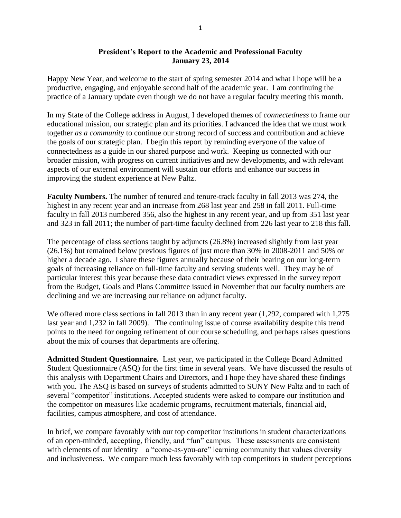## **President's Report to the Academic and Professional Faculty January 23, 2014**

Happy New Year, and welcome to the start of spring semester 2014 and what I hope will be a productive, engaging, and enjoyable second half of the academic year. I am continuing the practice of a January update even though we do not have a regular faculty meeting this month.

In my State of the College address in August, I developed themes of *connectedness* to frame our educational mission, our strategic plan and its priorities. I advanced the idea that we must work together *as a community* to continue our strong record of success and contribution and achieve the goals of our strategic plan. I begin this report by reminding everyone of the value of connectedness as a guide in our shared purpose and work. Keeping us connected with our broader mission, with progress on current initiatives and new developments, and with relevant aspects of our external environment will sustain our efforts and enhance our success in improving the student experience at New Paltz.

**Faculty Numbers.** The number of tenured and tenure-track faculty in fall 2013 was 274, the highest in any recent year and an increase from 268 last year and 258 in fall 2011. Full-time faculty in fall 2013 numbered 356, also the highest in any recent year, and up from 351 last year and 323 in fall 2011; the number of part-time faculty declined from 226 last year to 218 this fall.

The percentage of class sections taught by adjuncts (26.8%) increased slightly from last year (26.1%) but remained below previous figures of just more than 30% in 2008-2011 and 50% or higher a decade ago. I share these figures annually because of their bearing on our long-term goals of increasing reliance on full-time faculty and serving students well. They may be of particular interest this year because these data contradict views expressed in the survey report from the Budget, Goals and Plans Committee issued in November that our faculty numbers are declining and we are increasing our reliance on adjunct faculty.

We offered more class sections in fall 2013 than in any recent year (1,292, compared with 1,275 last year and 1,232 in fall 2009). The continuing issue of course availability despite this trend points to the need for ongoing refinement of our course scheduling, and perhaps raises questions about the mix of courses that departments are offering.

**Admitted Student Questionnaire.** Last year, we participated in the College Board Admitted Student Questionnaire (ASQ) for the first time in several years. We have discussed the results of this analysis with Department Chairs and Directors, and I hope they have shared these findings with you. The ASQ is based on surveys of students admitted to SUNY New Paltz and to each of several "competitor" institutions. Accepted students were asked to compare our institution and the competitor on measures like academic programs, recruitment materials, financial aid, facilities, campus atmosphere, and cost of attendance.

In brief, we compare favorably with our top competitor institutions in student characterizations of an open-minded, accepting, friendly, and "fun" campus. These assessments are consistent with elements of our identity – a "come-as-you-are" learning community that values diversity and inclusiveness. We compare much less favorably with top competitors in student perceptions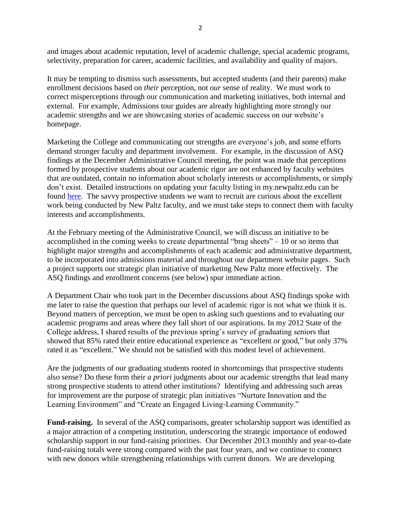and images about academic reputation, level of academic challenge, special academic programs, selectivity, preparation for career, academic facilities, and availability and quality of majors.

It may be tempting to dismiss such assessments, but accepted students (and their parents) make enrollment decisions based on *their* perception, not *our* sense of reality. We must work to correct misperceptions through our communication and marketing initiatives, both internal and external. For example, Admissions tour guides are already highlighting more strongly our academic strengths and we are showcasing stories of academic success on our website's homepage.

Marketing the College and communicating our strengths are everyone's job, and some efforts demand stronger faculty and department involvement. For example, in the discussion of ASQ findings at the December Administrative Council meeting, the point was made that perceptions formed by prospective students about our academic rigor are not enhanced by faculty websites that are outdated, contain no information about scholarly interests or accomplishments, or simply don't exist. Detailed instructions on updating your faculty listing in my.newpaltz.edu can be found [here.](http://www.newpaltz.edu/ocm/directory_directions.html) The savvy prospective students we want to recruit are curious about the excellent work being conducted by New Paltz faculty, and we must take steps to connect them with faculty interests and accomplishments.

At the February meeting of the Administrative Council, we will discuss an initiative to be accomplished in the coming weeks to create departmental "brag sheets" – 10 or so items that highlight major strengths and accomplishments of each academic and administrative department, to be incorporated into admissions material and throughout our department website pages. Such a project supports our strategic plan initiative of marketing New Paltz more effectively. The ASQ findings and enrollment concerns (see below) spur immediate action.

A Department Chair who took part in the December discussions about ASQ findings spoke with me later to raise the question that perhaps our level of academic rigor is not what we think it is. Beyond matters of perception, we must be open to asking such questions and to evaluating our academic programs and areas where they fall short of our aspirations. In my 2012 State of the College address, I shared results of the previous spring's survey of graduating seniors that showed that 85% rated their entire educational experience as "excellent or good," but only 37% rated it as "excellent." We should not be satisfied with this modest level of achievement.

Are the judgments of our graduating students rooted in shortcomings that prospective students also sense? Do these form their *a priori* judgments about our academic strengths that lead many strong prospective students to attend other institutions? Identifying and addressing such areas for improvement are the purpose of strategic plan initiatives "Nurture Innovation and the Learning Environment" and "Create an Engaged Living-Learning Community."

**Fund-raising.** In several of the ASQ comparisons, greater scholarship support was identified as a major attraction of a competing institution, underscoring the strategic importance of endowed scholarship support in our fund-raising priorities. Our December 2013 monthly and year-to-date fund-raising totals were strong compared with the past four years, and we continue to connect with new donors while strengthening relationships with current donors. We are developing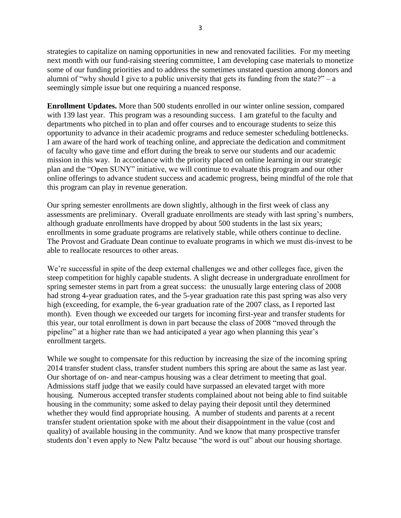strategies to capitalize on naming opportunities in new and renovated facilities. For my meeting next month with our fund-raising steering committee, I am developing case materials to monetize some of our funding priorities and to address the sometimes unstated question among donors and alumni of "why should I give to a public university that gets its funding from the state?" – a seemingly simple issue but one requiring a nuanced response.

**Enrollment Updates.** More than 500 students enrolled in our winter online session, compared with 139 last year. This program was a resounding success. I am grateful to the faculty and departments who pitched in to plan and offer courses and to encourage students to seize this opportunity to advance in their academic programs and reduce semester scheduling bottlenecks. I am aware of the hard work of teaching online, and appreciate the dedication and commitment of faculty who gave time and effort during the break to serve our students and our academic mission in this way. In accordance with the priority placed on online learning in our strategic plan and the "Open SUNY" initiative, we will continue to evaluate this program and our other online offerings to advance student success and academic progress, being mindful of the role that this program can play in revenue generation.

Our spring semester enrollments are down slightly, although in the first week of class any assessments are preliminary. Overall graduate enrollments are steady with last spring's numbers, although graduate enrollments have dropped by about 500 students in the last six years; enrollments in some graduate programs are relatively stable, while others continue to decline. The Provost and Graduate Dean continue to evaluate programs in which we must dis-invest to be able to reallocate resources to other areas.

We're successful in spite of the deep external challenges we and other colleges face, given the steep competition for highly capable students. A slight decrease in undergraduate enrollment for spring semester stems in part from a great success: the unusually large entering class of 2008 had strong 4-year graduation rates, and the 5-year graduation rate this past spring was also very high (exceeding, for example, the 6-year graduation rate of the 2007 class, as I reported last month). Even though we exceeded our targets for incoming first-year and transfer students for this year, our total enrollment is down in part because the class of 2008 "moved through the pipeline" at a higher rate than we had anticipated a year ago when planning this year's enrollment targets.

While we sought to compensate for this reduction by increasing the size of the incoming spring 2014 transfer student class, transfer student numbers this spring are about the same as last year. Our shortage of on- and near-campus housing was a clear detriment to meeting that goal. Admissions staff judge that we easily could have surpassed an elevated target with more housing. Numerous accepted transfer students complained about not being able to find suitable housing in the community; some asked to delay paying their deposit until they determined whether they would find appropriate housing. A number of students and parents at a recent transfer student orientation spoke with me about their disappointment in the value (cost and quality) of available housing in the community. And we know that many prospective transfer students don't even apply to New Paltz because "the word is out" about our housing shortage.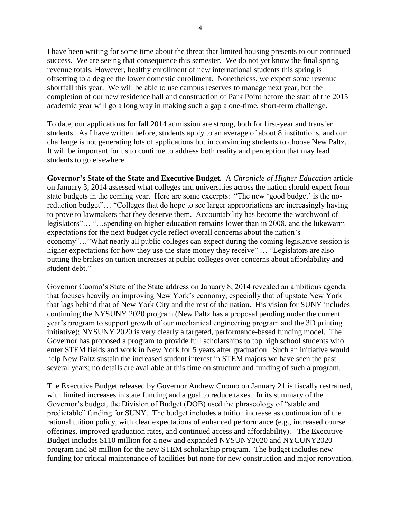I have been writing for some time about the threat that limited housing presents to our continued success. We are seeing that consequence this semester. We do not yet know the final spring revenue totals. However, healthy enrollment of new international students this spring is offsetting to a degree the lower domestic enrollment. Nonetheless, we expect some revenue shortfall this year. We will be able to use campus reserves to manage next year, but the completion of our new residence hall and construction of Park Point before the start of the 2015 academic year will go a long way in making such a gap a one-time, short-term challenge.

To date, our applications for fall 2014 admission are strong, both for first-year and transfer students. As I have written before, students apply to an average of about 8 institutions, and our challenge is not generating lots of applications but in convincing students to choose New Paltz. It will be important for us to continue to address both reality and perception that may lead students to go elsewhere.

**Governor's State of the State and Executive Budget.** A *Chronicle of Higher Education* article on January 3, 2014 assessed what colleges and universities across the nation should expect from state budgets in the coming year. Here are some excerpts: "The new 'good budget' is the noreduction budget"… "Colleges that do hope to see larger appropriations are increasingly having to prove to lawmakers that they deserve them. Accountability has become the watchword of legislators"… "…spending on higher education remains lower than in 2008, and the lukewarm expectations for the next budget cycle reflect overall concerns about the nation's economy"…"What nearly all public colleges can expect during the coming legislative session is higher expectations for how they use the state money they receive" ... "Legislators are also putting the brakes on tuition increases at public colleges over concerns about affordability and student debt."

Governor Cuomo's State of the State address on January 8, 2014 revealed an ambitious agenda that focuses heavily on improving New York's economy, especially that of upstate New York that lags behind that of New York City and the rest of the nation. His vision for SUNY includes continuing the NYSUNY 2020 program (New Paltz has a proposal pending under the current year's program to support growth of our mechanical engineering program and the 3D printing initiative); NYSUNY 2020 is very clearly a targeted, performance-based funding model. The Governor has proposed a program to provide full scholarships to top high school students who enter STEM fields and work in New York for 5 years after graduation. Such an initiative would help New Paltz sustain the increased student interest in STEM majors we have seen the past several years; no details are available at this time on structure and funding of such a program.

The Executive Budget released by Governor Andrew Cuomo on January 21 is fiscally restrained, with limited increases in state funding and a goal to reduce taxes. In its summary of the Governor's budget, the Division of Budget (DOB) used the phraseology of "stable and predictable" funding for SUNY. The budget includes a tuition increase as continuation of the rational tuition policy, with clear expectations of enhanced performance (e.g., increased course offerings, improved graduation rates, and continued access and affordability). The Executive Budget includes \$110 million for a new and expanded NYSUNY2020 and NYCUNY2020 program and \$8 million for the new STEM scholarship program. The budget includes new funding for critical maintenance of facilities but none for new construction and major renovation.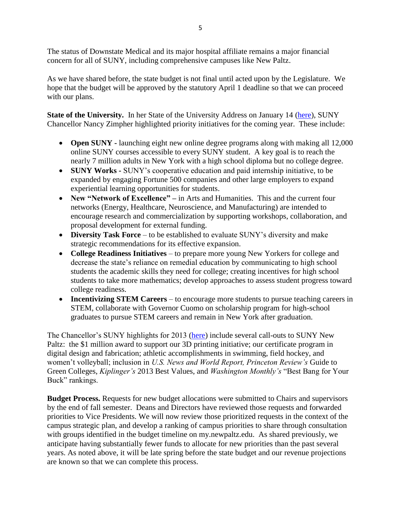The status of Downstate Medical and its major hospital affiliate remains a major financial concern for all of SUNY, including comprehensive campuses like New Paltz.

As we have shared before, the state budget is not final until acted upon by the Legislature. We hope that the budget will be approved by the statutory April 1 deadline so that we can proceed with our plans.

State of the University. In her State of the University Address on January 14 [\(here\)](http://www.suny.edu/chancellor/sou.cfm), SUNY Chancellor Nancy Zimpher highlighted priority initiatives for the coming year. These include:

- **Open SUNY -** launching eight new online degree programs along with making all 12,000 online SUNY courses accessible to every SUNY student. A key goal is to reach the nearly 7 million adults in New York with a high school diploma but no college degree.
- **SUNY Works -** SUNY's cooperative education and paid internship initiative, to be expanded by engaging Fortune 500 companies and other large employers to expand experiential learning opportunities for students.
- **New "Network of Excellence" –** in Arts and Humanities. This and the current four networks (Energy, Healthcare, Neuroscience, and Manufacturing) are intended to encourage research and commercialization by supporting workshops, collaboration, and proposal development for external funding.
- **Diversity Task Force** to be established to evaluate SUNY's diversity and make strategic recommendations for its effective expansion.
- **College Readiness Initiatives** to prepare more young New Yorkers for college and decrease the state's reliance on remedial education by communicating to high school students the academic skills they need for college; creating incentives for high school students to take more mathematics; develop approaches to assess student progress toward college readiness.
- **Incentivizing STEM Careers** to encourage more students to pursue teaching careers in STEM, collaborate with Governor Cuomo on scholarship program for high-school graduates to pursue STEM careers and remain in New York after graduation.

The Chancellor's SUNY highlights for 2013 [\(here\)](http://www.suny.edu/communications/files/Good-News-from-Across-SUNY-Dec2013.pdf) include several call-outs to SUNY New Paltz: the \$1 million award to support our 3D printing initiative; our certificate program in digital design and fabrication; athletic accomplishments in swimming, field hockey, and women't volleyball; inclusion in *U.S. News and World Report, Princeton Review's* Guide to Green Colleges, *Kiplinger's* 2013 Best Values, and *Washington Monthly's* "Best Bang for Your Buck" rankings.

**Budget Process.** Requests for new budget allocations were submitted to Chairs and supervisors by the end of fall semester. Deans and Directors have reviewed those requests and forwarded priorities to Vice Presidents. We will now review those prioritized requests in the context of the campus strategic plan, and develop a ranking of campus priorities to share through consultation with groups identified in the budget timeline on my.newpaltz.edu. As shared previously, we anticipate having substantially fewer funds to allocate for new priorities than the past several years. As noted above, it will be late spring before the state budget and our revenue projections are known so that we can complete this process.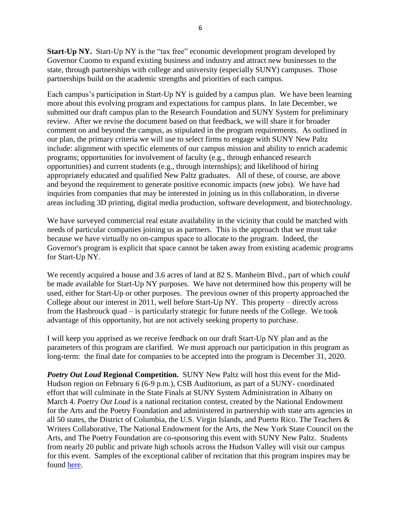**Start-Up NY.** Start-Up NY is the "tax free" economic development program developed by Governor Cuomo to expand existing business and industry and attract new businesses to the state, through partnerships with college and university (especially SUNY) campuses. Those partnerships build on the academic strengths and priorities of each campus.

Each campus's participation in Start-Up NY is guided by a campus plan. We have been learning more about this evolving program and expectations for campus plans. In late December, we submitted our draft campus plan to the Research Foundation and SUNY System for preliminary review. After we revise the document based on that feedback, we will share it for broader comment on and beyond the campus, as stipulated in the program requirements. As outlined in our plan, the primary criteria we will use to select firms to engage with SUNY New Paltz include: alignment with specific elements of our campus mission and ability to enrich academic programs; opportunities for involvement of faculty (e.g., through enhanced research opportunities) and current students (e.g., through internships); and likelihood of hiring appropriately educated and qualified New Paltz graduates. All of these, of course, are above and beyond the requirement to generate positive economic impacts (new jobs). We have had inquiries from companies that may be interested in joining us in this collaboration, in diverse areas including 3D printing, digital media production, software development, and biotechnology.

We have surveyed commercial real estate availability in the vicinity that could be matched with needs of particular companies joining us as partners. This is the approach that we must take because we have virtually no on-campus space to allocate to the program. Indeed, the Governor's program is explicit that space cannot be taken away from existing academic programs for Start-Up NY.

We recently acquired a house and 3.6 acres of land at 82 S. Manheim Blvd., part of which *could*  be made available for Start-Up NY purposes. We have not determined how this property will be used, either for Start-Up or other purposes. The previous owner of this property approached the College about our interest in 2011, well before Start-Up NY. This property – directly across from the Hasbrouck quad – is particularly strategic for future needs of the College. We took advantage of this opportunity, but are not actively seeking property to purchase.

I will keep you apprised as we receive feedback on our draft Start-Up NY plan and as the parameters of this program are clarified. We must approach our participation in this program as long-term: the final date for companies to be accepted into the program is December 31, 2020.

*Poetry Out Loud* **Regional Competition.** SUNY New Paltz will host this event for the Mid-Hudson region on February 6 (6-9 p.m.), CSB Auditorium, as part of a SUNY- coordinated effort that will culminate in the State Finals at SUNY System Administration in Albany on March 4. *Poetry Out Loud* is a national recitation contest, created by the National Endowment for the Arts and the Poetry Foundation and administered in partnership with state arts agencies in all 50 states, the District of Columbia, the U.S. Virgin Islands, and Puerto Rico. The Teachers & Writers Collaborative, The National Endowment for the Arts, the New York State Council on the Arts, and The Poetry Foundation are co-sponsoring this event with SUNY New Paltz. Students from nearly 20 public and private high schools across the Hudson Valley will visit our campus for this event. Samples of the exceptional caliber of recitation that this program inspires may be found [here.](http://www.poetryoutloud.org/poems-and-performance/watch-video)